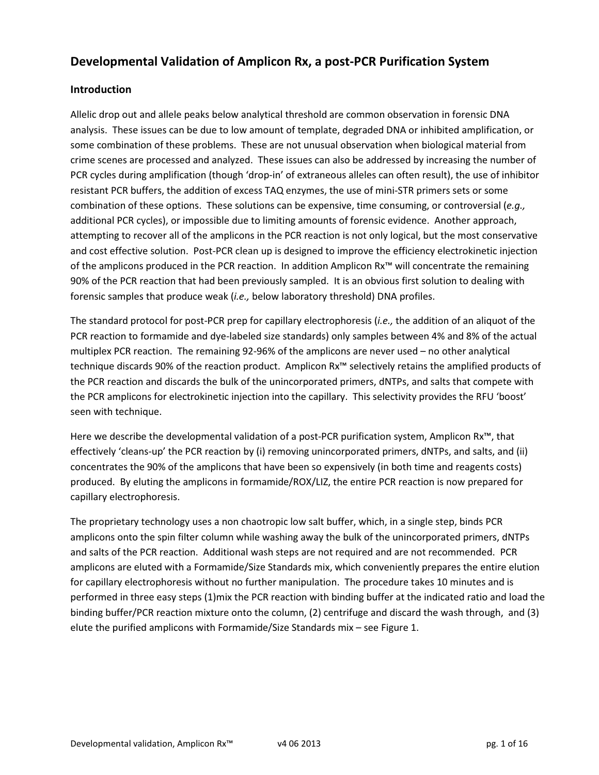# Developmental Validation of Amplicon Rx, a post-PCR Purification System

# Introduction

Allelic drop out and allele peaks below analytical threshold are common observation in forensic DNA analysis. These issues can be due to low amount of template, degraded DNA or inhibited amplification, or some combination of these problems. These are not unusual observation when biological material from crime scenes are processed and analyzed. These issues can also be addressed by increasing the number of PCR cycles during amplification (though 'drop-in' of extraneous alleles can often result), the use of inhibitor resistant PCR buffers, the addition of excess TAQ enzymes, the use of mini-STR primers sets or some combination of these options. These solutions can be expensive, time consuming, or controversial (e.g., additional PCR cycles), or impossible due to limiting amounts of forensic evidence. Another approach, attempting to recover all of the amplicons in the PCR reaction is not only logical, but the most conservative and cost effective solution. Post-PCR clean up is designed to improve the efficiency electrokinetic injection of the amplicons produced in the PCR reaction. In addition Amplicon Rx™ will concentrate the remaining 90% of the PCR reaction that had been previously sampled. It is an obvious first solution to dealing with forensic samples that produce weak (i.e., below laboratory threshold) DNA profiles.

The standard protocol for post-PCR prep for capillary electrophoresis (i.e., the addition of an aliquot of the PCR reaction to formamide and dye-labeled size standards) only samples between 4% and 8% of the actual multiplex PCR reaction. The remaining 92-96% of the amplicons are never used – no other analytical technique discards 90% of the reaction product. Amplicon Rx™ selectively retains the amplified products of the PCR reaction and discards the bulk of the unincorporated primers, dNTPs, and salts that compete with the PCR amplicons for electrokinetic injection into the capillary. This selectivity provides the RFU 'boost' seen with technique.

Here we describe the developmental validation of a post-PCR purification system, Amplicon Rx™, that effectively 'cleans-up' the PCR reaction by (i) removing unincorporated primers, dNTPs, and salts, and (ii) concentrates the 90% of the amplicons that have been so expensively (in both time and reagents costs) produced. By eluting the amplicons in formamide/ROX/LIZ, the entire PCR reaction is now prepared for capillary electrophoresis.

The proprietary technology uses a non chaotropic low salt buffer, which, in a single step, binds PCR amplicons onto the spin filter column while washing away the bulk of the unincorporated primers, dNTPs and salts of the PCR reaction. Additional wash steps are not required and are not recommended. PCR amplicons are eluted with a Formamide/Size Standards mix, which conveniently prepares the entire elution for capillary electrophoresis without no further manipulation. The procedure takes 10 minutes and is performed in three easy steps (1)mix the PCR reaction with binding buffer at the indicated ratio and load the binding buffer/PCR reaction mixture onto the column, (2) centrifuge and discard the wash through, and (3) elute the purified amplicons with Formamide/Size Standards mix – see Figure 1.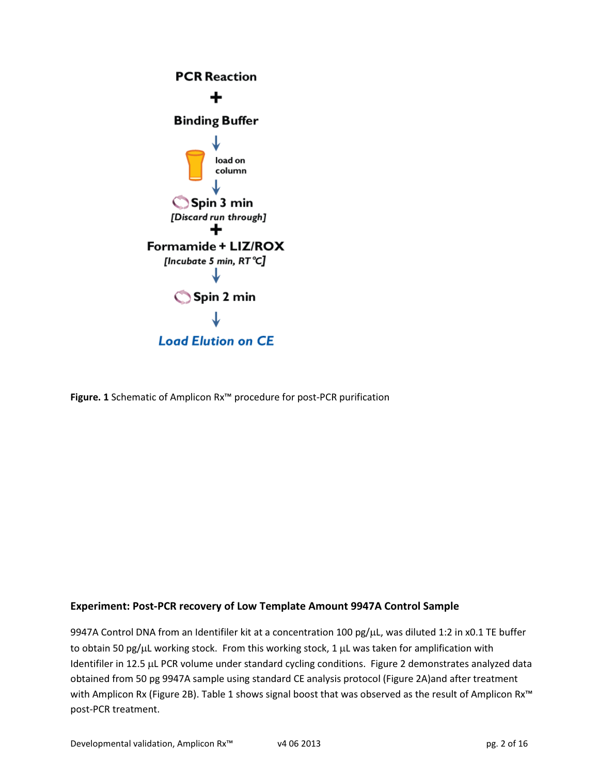

Figure. 1 Schematic of Amplicon Rx™ procedure for post-PCR purification

# Experiment: Post-PCR recovery of Low Template Amount 9947A Control Sample

9947A Control DNA from an Identifiler kit at a concentration 100 pg/µL, was diluted 1:2 in x0.1 TE buffer to obtain 50 pg/ $\mu$ L working stock. From this working stock, 1  $\mu$ L was taken for amplification with Identifiler in 12.5 µL PCR volume under standard cycling conditions. Figure 2 demonstrates analyzed data obtained from 50 pg 9947A sample using standard CE analysis protocol (Figure 2A)and after treatment with Amplicon Rx (Figure 2B). Table 1 shows signal boost that was observed as the result of Amplicon Rx<sup>™</sup> post-PCR treatment.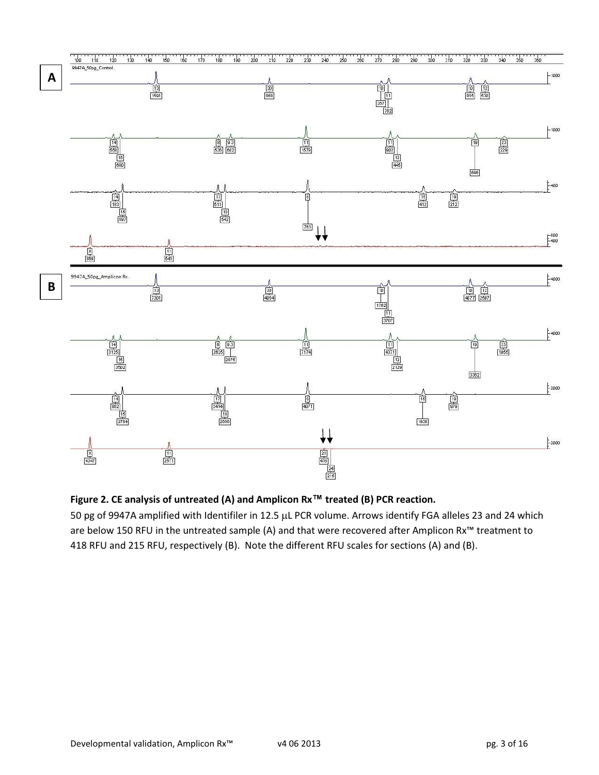

Figure 2. CE analysis of untreated (A) and Amplicon Rx™ treated (B) PCR reaction.

50 pg of 9947A amplified with Identifiler in 12.5 µL PCR volume. Arrows identify FGA alleles 23 and 24 which are below 150 RFU in the untreated sample (A) and that were recovered after Amplicon Rx™ treatment to 418 RFU and 215 RFU, respectively (B). Note the different RFU scales for sections (A) and (B).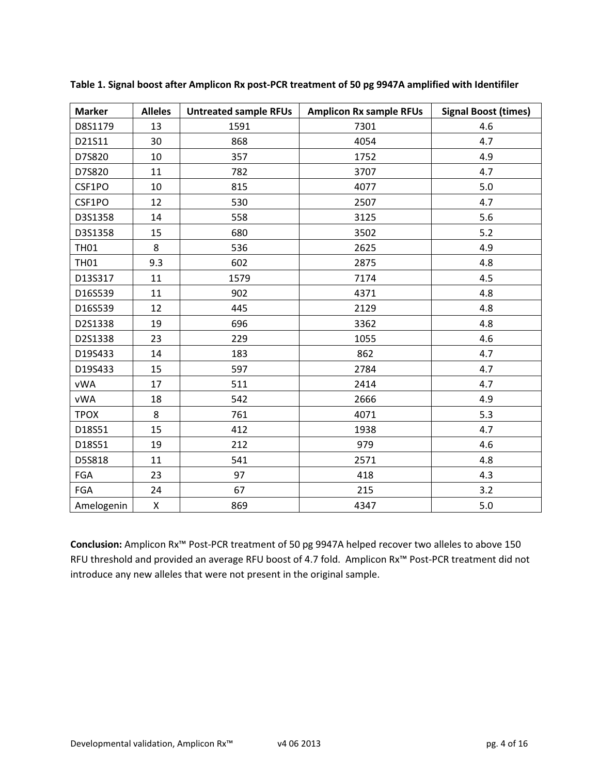| <b>Marker</b> | <b>Alleles</b> | <b>Untreated sample RFUs</b> | <b>Amplicon Rx sample RFUs</b> | <b>Signal Boost (times)</b> |
|---------------|----------------|------------------------------|--------------------------------|-----------------------------|
| D8S1179       | 13             | 1591                         | 7301                           | 4.6                         |
| D21S11        | 30             | 868                          | 4054                           | 4.7                         |
| D7S820        | 10             | 357                          | 1752                           | 4.9                         |
| D7S820        | 11             | 782                          | 3707                           | 4.7                         |
| CSF1PO        | 10             | 815                          | 4077                           | 5.0                         |
| CSF1PO        | 12             | 530                          | 2507                           | 4.7                         |
| D3S1358       | 14             | 558                          | 3125                           | 5.6                         |
| D3S1358       | 15             | 680                          | 3502                           | $5.2$                       |
| <b>TH01</b>   | 8              | 536                          | 2625                           | 4.9                         |
| <b>TH01</b>   | 9.3            | 602                          | 2875                           | 4.8                         |
| D13S317       | 11             | 1579                         | 7174                           | 4.5                         |
| D16S539       | 11             | 902                          | 4371                           | 4.8                         |
| D16S539       | 12             | 445                          | 2129                           | 4.8                         |
| D2S1338       | 19             | 696                          | 3362                           | 4.8                         |
| D2S1338       | 23             | 229                          | 1055                           | 4.6                         |
| D19S433       | 14             | 183                          | 862                            | 4.7                         |
| D19S433       | 15             | 597                          | 2784                           | 4.7                         |
| vWA           | 17             | 511                          | 2414                           | 4.7                         |
| <b>vWA</b>    | 18             | 542                          | 2666                           | 4.9                         |
| <b>TPOX</b>   | 8              | 761                          | 4071                           | 5.3                         |
| D18S51        | 15             | 412                          | 1938                           | 4.7                         |
| D18S51        | 19             | 212                          | 979                            | 4.6                         |
| D5S818        | 11             | 541                          | 2571                           | 4.8                         |
| <b>FGA</b>    | 23             | 97                           | 418                            | 4.3                         |
| <b>FGA</b>    | 24             | 67                           | 215                            | 3.2                         |
| Amelogenin    | X              | 869                          | 4347                           | 5.0                         |

Table 1. Signal boost after Amplicon Rx post-PCR treatment of 50 pg 9947A amplified with Identifiler

Conclusion: Amplicon Rx™ Post-PCR treatment of 50 pg 9947A helped recover two alleles to above 150 RFU threshold and provided an average RFU boost of 4.7 fold. Amplicon Rx™ Post-PCR treatment did not introduce any new alleles that were not present in the original sample.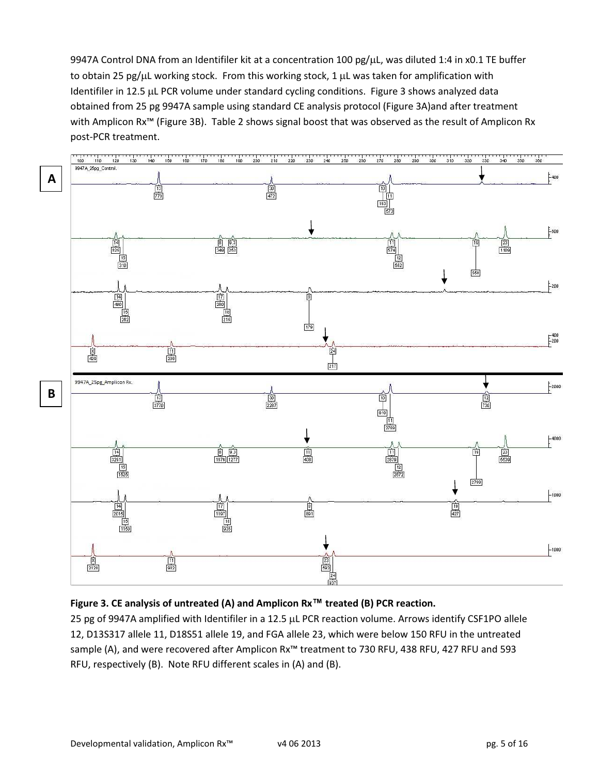9947A Control DNA from an Identifiler kit at a concentration 100 pg/µL, was diluted 1:4 in x0.1 TE buffer to obtain 25 pg/ $\mu$ L working stock. From this working stock, 1  $\mu$ L was taken for amplification with Identifiler in 12.5 µL PCR volume under standard cycling conditions. Figure 3 shows analyzed data obtained from 25 pg 9947A sample using standard CE analysis protocol (Figure 3A)and after treatment with Amplicon Rx™ (Figure 3B). Table 2 shows signal boost that was observed as the result of Amplicon Rx post-PCR treatment.



# Figure 3. CE analysis of untreated (A) and Amplicon Rx™ treated (B) PCR reaction.

25 pg of 9947A amplified with Identifiler in a 12.5 µL PCR reaction volume. Arrows identify CSF1PO allele 12, D13S317 allele 11, D18S51 allele 19, and FGA allele 23, which were below 150 RFU in the untreated sample (A), and were recovered after Amplicon Rx<sup>™</sup> treatment to 730 RFU, 438 RFU, 427 RFU and 593 RFU, respectively (B). Note RFU different scales in (A) and (B).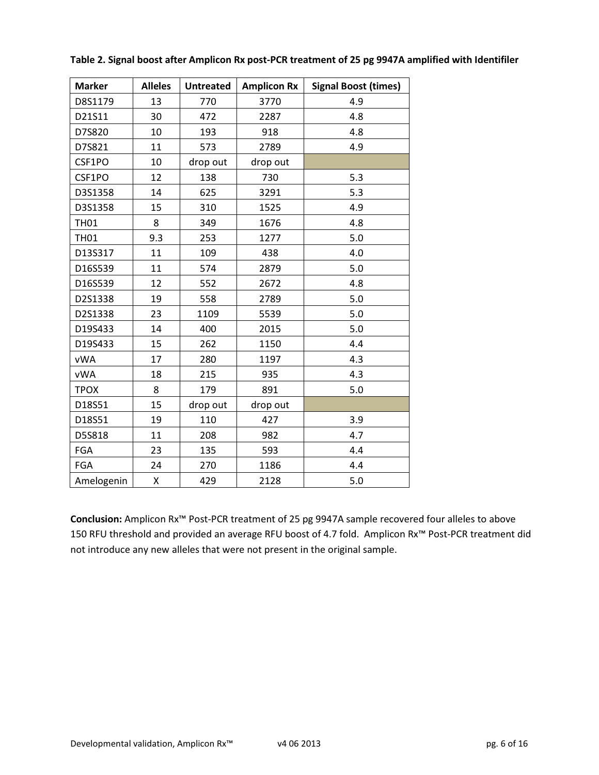| <b>Marker</b> | <b>Alleles</b> | <b>Untreated</b> | <b>Amplicon Rx</b> | <b>Signal Boost (times)</b> |
|---------------|----------------|------------------|--------------------|-----------------------------|
| D8S1179       | 13             | 770              | 3770               | 4.9                         |
| D21S11        | 30             | 472              | 2287               | 4.8                         |
| D7S820        | 10             | 193              | 918                | 4.8                         |
| D7S821        | 11             | 573              | 2789               | 4.9                         |
| CSF1PO        | 10             | drop out         | drop out           |                             |
| CSF1PO        | 12             | 138              | 730                | 5.3                         |
| D3S1358       | 14             | 625              | 3291               | 5.3                         |
| D3S1358       | 15             | 310              | 1525               | 4.9                         |
| <b>TH01</b>   | 8              | 349              | 1676               | 4.8                         |
| <b>TH01</b>   | 9.3            | 253              | 1277               | 5.0                         |
| D13S317       | 11             | 109              | 438                | 4.0                         |
| D16S539       | 11             | 574              | 2879               | 5.0                         |
| D16S539       | 12             | 552              | 2672               | 4.8                         |
| D2S1338       | 19             | 558              | 2789               | 5.0                         |
| D2S1338       | 23             | 1109             | 5539               | 5.0                         |
| D19S433       | 14             | 400              | 2015               | 5.0                         |
| D19S433       | 15             | 262              | 1150               | 4.4                         |
| <b>vWA</b>    | 17             | 280              | 1197               | 4.3                         |
| <b>vWA</b>    | 18             | 215              | 935                | 4.3                         |
| <b>TPOX</b>   | 8              | 179              | 891                | 5.0                         |
| D18S51        | 15             | drop out         | drop out           |                             |
| D18S51        | 19             | 110              | 427                | 3.9                         |
| D5S818        | 11             | 208              | 982                | 4.7                         |
| FGA           | 23             | 135              | 593                | 4.4                         |
| FGA           | 24             | 270              | 1186               | 4.4                         |
| Amelogenin    | X              | 429              | 2128               | 5.0                         |

### Table 2. Signal boost after Amplicon Rx post-PCR treatment of 25 pg 9947A amplified with Identifiler

Conclusion: Amplicon Rx<sup>™</sup> Post-PCR treatment of 25 pg 9947A sample recovered four alleles to above 150 RFU threshold and provided an average RFU boost of 4.7 fold. Amplicon Rx™ Post-PCR treatment did not introduce any new alleles that were not present in the original sample.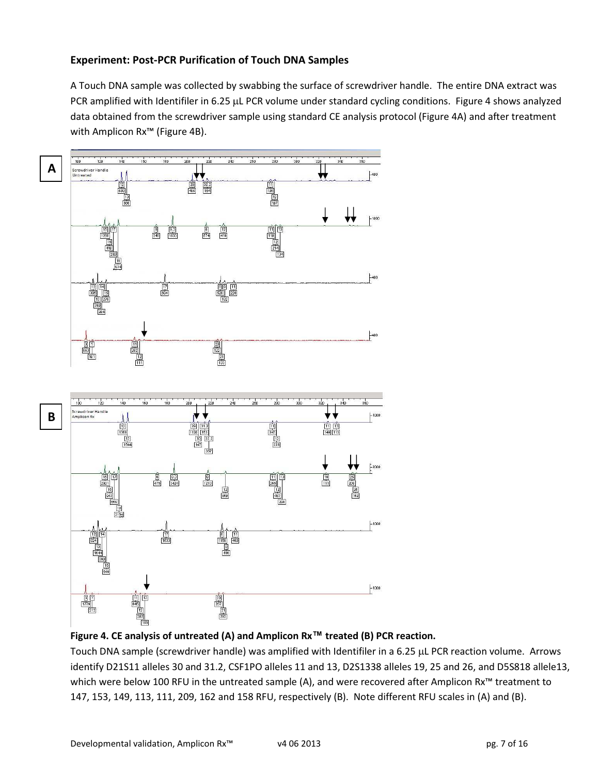### Experiment: Post-PCR Purification of Touch DNA Samples

A Touch DNA sample was collected by swabbing the surface of screwdriver handle. The entire DNA extract was PCR amplified with Identifiler in 6.25 µL PCR volume under standard cycling conditions. Figure 4 shows analyzed data obtained from the screwdriver sample using standard CE analysis protocol (Figure 4A) and after treatment with Amplicon Rx™ (Figure 4B).





Touch DNA sample (screwdriver handle) was amplified with Identifiler in a 6.25 µL PCR reaction volume. Arrows identify D21S11 alleles 30 and 31.2, CSF1PO alleles 11 and 13, D2S1338 alleles 19, 25 and 26, and D5S818 allele13, which were below 100 RFU in the untreated sample (A), and were recovered after Amplicon Rx<sup>™</sup> treatment to 147, 153, 149, 113, 111, 209, 162 and 158 RFU, respectively (B). Note different RFU scales in (A) and (B).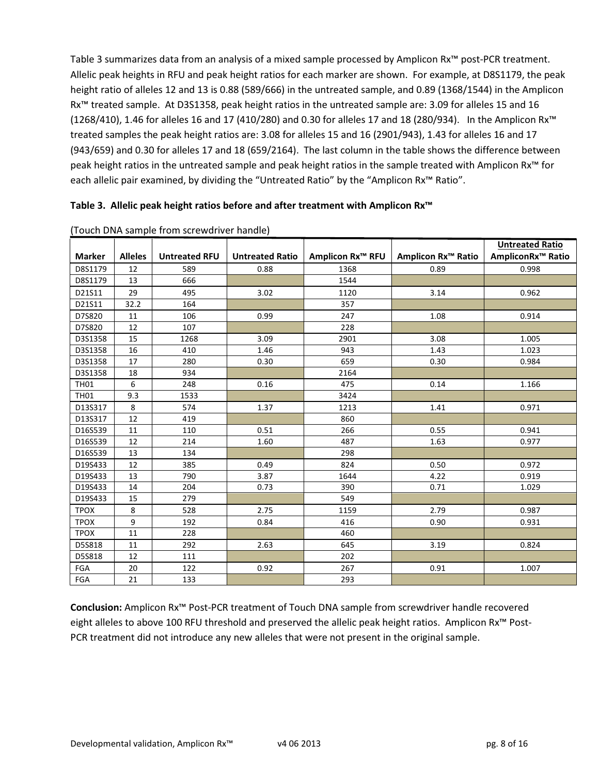Table 3 summarizes data from an analysis of a mixed sample processed by Amplicon Rx™ post-PCR treatment. Allelic peak heights in RFU and peak height ratios for each marker are shown. For example, at D8S1179, the peak height ratio of alleles 12 and 13 is 0.88 (589/666) in the untreated sample, and 0.89 (1368/1544) in the Amplicon Rx™ treated sample. At D3S1358, peak height ratios in the untreated sample are: 3.09 for alleles 15 and 16 (1268/410), 1.46 for alleles 16 and 17 (410/280) and 0.30 for alleles 17 and 18 (280/934). In the Amplicon Rx™ treated samples the peak height ratios are: 3.08 for alleles 15 and 16 (2901/943), 1.43 for alleles 16 and 17 (943/659) and 0.30 for alleles 17 and 18 (659/2164). The last column in the table shows the difference between peak height ratios in the untreated sample and peak height ratios in the sample treated with Amplicon Rx™ for each allelic pair examined, by dividing the "Untreated Ratio" by the "Amplicon Rx™ Ratio".

#### Table 3. Allelic peak height ratios before and after treatment with Amplicon Rx™

|               |                |                      |                        |                         |                           | <b>Untreated Ratio</b>        |
|---------------|----------------|----------------------|------------------------|-------------------------|---------------------------|-------------------------------|
| <b>Marker</b> | <b>Alleles</b> | <b>Untreated RFU</b> | <b>Untreated Ratio</b> | <b>Amplicon Rx™ RFU</b> | <b>Amplicon Rx™ Ratio</b> | AmpliconRx <sup>™</sup> Ratio |
| D8S1179       | 12             | 589                  | 0.88                   | 1368                    | 0.89                      | 0.998                         |
| D8S1179       | 13             | 666                  |                        | 1544                    |                           |                               |
| D21S11        | 29             | 495                  | 3.02                   | 1120                    | 3.14                      | 0.962                         |
| D21S11        | 32.2           | 164                  |                        | 357                     |                           |                               |
| D7S820        | 11             | 106                  | 0.99                   | 247                     | 1.08                      | 0.914                         |
| D7S820        | 12             | 107                  |                        | 228                     |                           |                               |
| D3S1358       | 15             | 1268                 | 3.09                   | 2901                    | 3.08                      | 1.005                         |
| D3S1358       | 16             | 410                  | 1.46                   | 943                     | 1.43                      | 1.023                         |
| D3S1358       | 17             | 280                  | 0.30                   | 659                     | 0.30                      | 0.984                         |
| D3S1358       | 18             | 934                  |                        | 2164                    |                           |                               |
| <b>TH01</b>   | 6              | 248                  | 0.16                   | 475                     | 0.14                      | 1.166                         |
| <b>TH01</b>   | 9.3            | 1533                 |                        | 3424                    |                           |                               |
| D13S317       | 8              | 574                  | 1.37                   | 1213                    | 1.41                      | 0.971                         |
| D13S317       | 12             | 419                  |                        | 860                     |                           |                               |
| D16S539       | 11             | 110                  | 0.51                   | 266                     | 0.55                      | 0.941                         |
| D16S539       | 12             | 214                  | 1.60                   | 487                     | 1.63                      | 0.977                         |
| D16S539       | 13             | 134                  |                        | 298                     |                           |                               |
| D19S433       | 12             | 385                  | 0.49                   | 824                     | 0.50                      | 0.972                         |
| D19S433       | 13             | 790                  | 3.87                   | 1644                    | 4.22                      | 0.919                         |
| D19S433       | 14             | 204                  | 0.73                   | 390                     | 0.71                      | 1.029                         |
| D19S433       | 15             | 279                  |                        | 549                     |                           |                               |
| <b>TPOX</b>   | 8              | 528                  | 2.75                   | 1159                    | 2.79                      | 0.987                         |
| <b>TPOX</b>   | 9              | 192                  | 0.84                   | 416                     | 0.90                      | 0.931                         |
| <b>TPOX</b>   | 11             | 228                  |                        | 460                     |                           |                               |
| D5S818        | 11             | 292                  | 2.63                   | 645                     | 3.19                      | 0.824                         |
| D5S818        | 12             | 111                  |                        | 202                     |                           |                               |
| FGA           | 20             | 122                  | 0.92                   | 267                     | 0.91                      | 1.007                         |
| FGA           | 21             | 133                  |                        | 293                     |                           |                               |

(Touch DNA sample from screwdriver handle)

Conclusion: Amplicon Rx™ Post-PCR treatment of Touch DNA sample from screwdriver handle recovered eight alleles to above 100 RFU threshold and preserved the allelic peak height ratios. Amplicon Rx™ Post-PCR treatment did not introduce any new alleles that were not present in the original sample.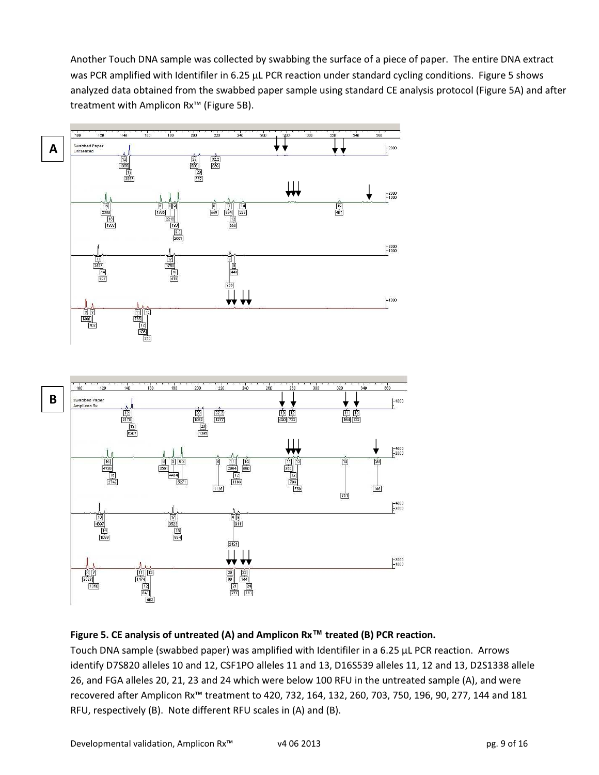Another Touch DNA sample was collected by swabbing the surface of a piece of paper. The entire DNA extract was PCR amplified with Identifiler in 6.25 µL PCR reaction under standard cycling conditions. Figure 5 shows analyzed data obtained from the swabbed paper sample using standard CE analysis protocol (Figure 5A) and after treatment with Amplicon Rx<sup>™</sup> (Figure 5B).



### Figure 5. CE analysis of untreated (A) and Amplicon Rx™ treated (B) PCR reaction.

Touch DNA sample (swabbed paper) was amplified with Identifiler in a 6.25 µL PCR reaction. Arrows identify D7S820 alleles 10 and 12, CSF1PO alleles 11 and 13, D16S539 alleles 11, 12 and 13, D2S1338 allele 26, and FGA alleles 20, 21, 23 and 24 which were below 100 RFU in the untreated sample (A), and were recovered after Amplicon Rx™ treatment to 420, 732, 164, 132, 260, 703, 750, 196, 90, 277, 144 and 181 RFU, respectively (B). Note different RFU scales in (A) and (B).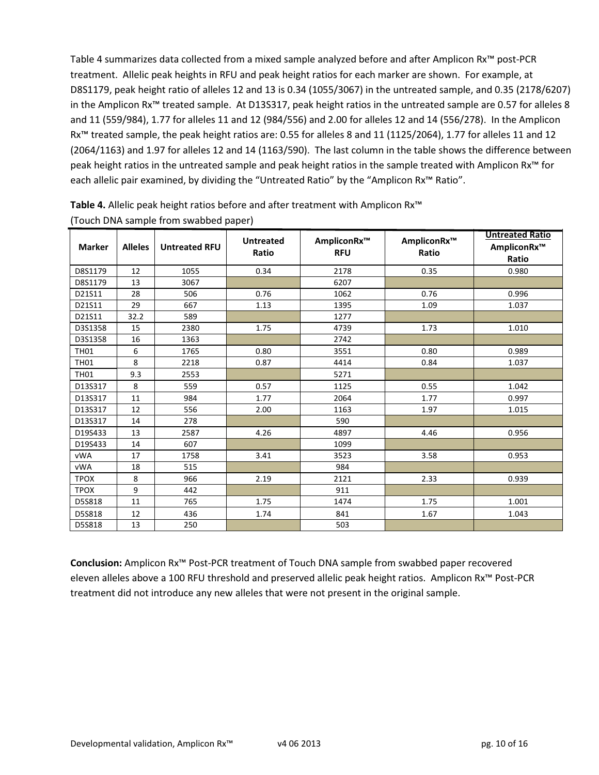Table 4 summarizes data collected from a mixed sample analyzed before and after Amplicon Rx™ post-PCR treatment. Allelic peak heights in RFU and peak height ratios for each marker are shown. For example, at D8S1179, peak height ratio of alleles 12 and 13 is 0.34 (1055/3067) in the untreated sample, and 0.35 (2178/6207) in the Amplicon Rx™ treated sample. At D13S317, peak height ratios in the untreated sample are 0.57 for alleles 8 and 11 (559/984), 1.77 for alleles 11 and 12 (984/556) and 2.00 for alleles 12 and 14 (556/278). In the Amplicon Rx™ treated sample, the peak height ratios are: 0.55 for alleles 8 and 11 (1125/2064), 1.77 for alleles 11 and 12 (2064/1163) and 1.97 for alleles 12 and 14 (1163/590). The last column in the table shows the difference between peak height ratios in the untreated sample and peak height ratios in the sample treated with Amplicon Rx™ for each allelic pair examined, by dividing the "Untreated Ratio" by the "Amplicon Rx™ Ratio".

| <b>Marker</b> | <b>Alleles</b> | <b>Untreated RFU</b> | <b>Untreated</b><br>Ratio | AmpliconRx™<br><b>RFU</b> | AmpliconRx™<br>Ratio | <b>Untreated Ratio</b><br>AmpliconRx™<br>Ratio |
|---------------|----------------|----------------------|---------------------------|---------------------------|----------------------|------------------------------------------------|
| D8S1179       | 12             | 1055                 | 0.34                      | 2178                      | 0.35                 | 0.980                                          |
| D8S1179       | 13             | 3067                 |                           | 6207                      |                      |                                                |
| D21S11        | 28             | 506                  | 0.76                      | 1062                      | 0.76                 | 0.996                                          |
| D21S11        | 29             | 667                  | 1.13                      | 1395                      | 1.09                 | 1.037                                          |
| D21S11        | 32.2           | 589                  |                           | 1277                      |                      |                                                |
| D3S1358       | 15             | 2380                 | 1.75                      | 4739                      | 1.73                 | 1.010                                          |
| D3S1358       | 16             | 1363                 |                           | 2742                      |                      |                                                |
| <b>TH01</b>   | 6              | 1765                 | 0.80                      | 3551                      | 0.80                 | 0.989                                          |
| <b>TH01</b>   | 8              | 2218                 | 0.87                      | 4414                      | 0.84                 | 1.037                                          |
| <b>TH01</b>   | 9.3            | 2553                 |                           | 5271                      |                      |                                                |
| D13S317       | 8              | 559                  | 0.57                      | 1125                      | 0.55                 | 1.042                                          |
| D13S317       | 11             | 984                  | 1.77                      | 2064                      | 1.77                 | 0.997                                          |
| D13S317       | 12             | 556                  | 2.00                      | 1163                      | 1.97                 | 1.015                                          |
| D13S317       | 14             | 278                  |                           | 590                       |                      |                                                |
| D19S433       | 13             | 2587                 | 4.26                      | 4897                      | 4.46                 | 0.956                                          |
| D19S433       | 14             | 607                  |                           | 1099                      |                      |                                                |
| <b>vWA</b>    | 17             | 1758                 | 3.41                      | 3523                      | 3.58                 | 0.953                                          |
| <b>vWA</b>    | 18             | 515                  |                           | 984                       |                      |                                                |
| <b>TPOX</b>   | 8              | 966                  | 2.19                      | 2121                      | 2.33                 | 0.939                                          |
| <b>TPOX</b>   | 9              | 442                  |                           | 911                       |                      |                                                |
| D5S818        | 11             | 765                  | 1.75                      | 1474                      | 1.75                 | 1.001                                          |
| D5S818        | 12             | 436                  | 1.74                      | 841                       | 1.67                 | 1.043                                          |
| D5S818        | 13             | 250                  |                           | 503                       |                      |                                                |

Table 4. Allelic peak height ratios before and after treatment with Amplicon Rx<sup>™</sup> (Touch DNA sample from swabbed paper)

Conclusion: Amplicon Rx™ Post-PCR treatment of Touch DNA sample from swabbed paper recovered eleven alleles above a 100 RFU threshold and preserved allelic peak height ratios. Amplicon Rx™ Post-PCR treatment did not introduce any new alleles that were not present in the original sample.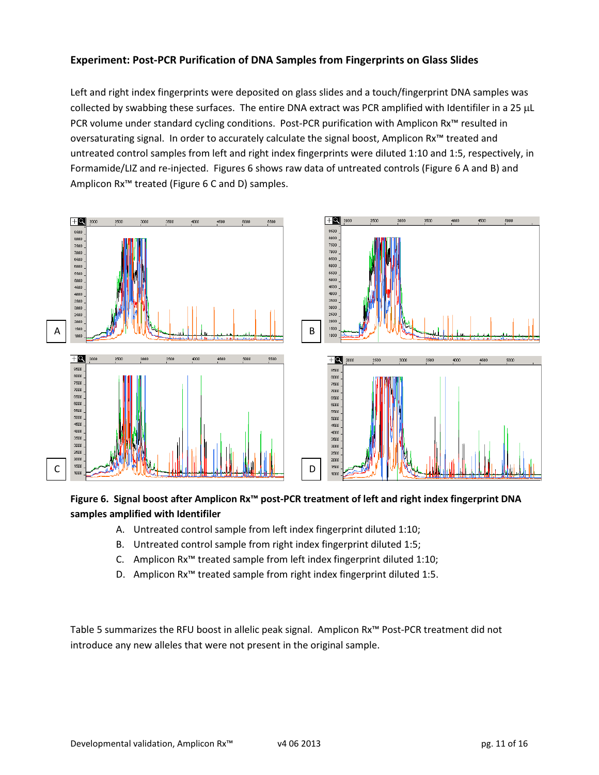# Experiment: Post-PCR Purification of DNA Samples from Fingerprints on Glass Slides

Left and right index fingerprints were deposited on glass slides and a touch/fingerprint DNA samples was collected by swabbing these surfaces. The entire DNA extract was PCR amplified with Identifiler in a 25 µL PCR volume under standard cycling conditions. Post-PCR purification with Amplicon Rx™ resulted in oversaturating signal. In order to accurately calculate the signal boost, Amplicon Rx™ treated and untreated control samples from left and right index fingerprints were diluted 1:10 and 1:5, respectively, in Formamide/LIZ and re-injected. Figures 6 shows raw data of untreated controls (Figure 6 A and B) and Amplicon Rx™ treated (Figure 6 C and D) samples.



# Figure 6. Signal boost after Amplicon Rx™ post-PCR treatment of left and right index fingerprint DNA samples amplified with Identifiler

- A. Untreated control sample from left index fingerprint diluted 1:10;
- B. Untreated control sample from right index fingerprint diluted 1:5;
- C. Amplicon Rx™ treated sample from left index fingerprint diluted 1:10;
- D. Amplicon Rx™ treated sample from right index fingerprint diluted 1:5.

Table 5 summarizes the RFU boost in allelic peak signal. Amplicon Rx™ Post-PCR treatment did not introduce any new alleles that were not present in the original sample.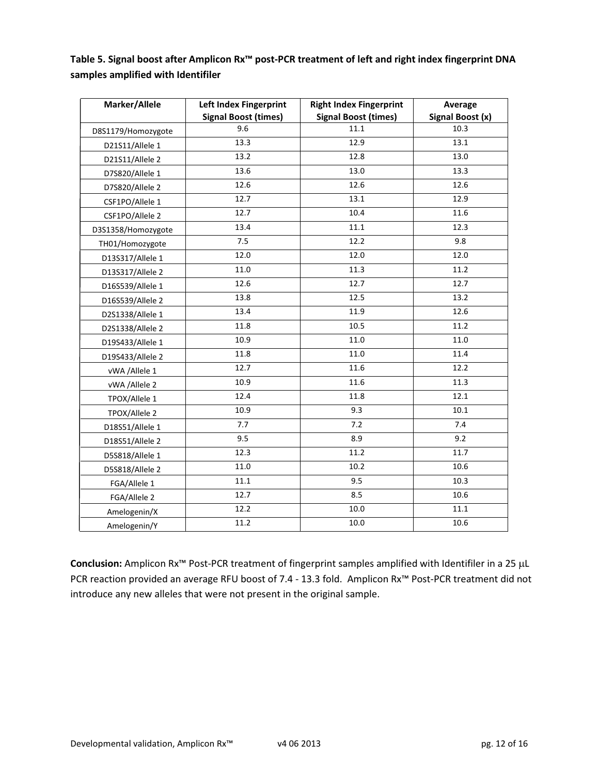Table 5. Signal boost after Amplicon Rx™ post-PCR treatment of left and right index fingerprint DNA samples amplified with Identifiler

| Marker/Allele      | <b>Left Index Fingerprint</b> | <b>Right Index Fingerprint</b> | Average          |
|--------------------|-------------------------------|--------------------------------|------------------|
|                    | <b>Signal Boost (times)</b>   | <b>Signal Boost (times)</b>    | Signal Boost (x) |
| D8S1179/Homozygote | 9.6                           | 11.1                           | 10.3             |
| D21S11/Allele 1    | 13.3                          | 12.9                           | 13.1             |
| D21S11/Allele 2    | 13.2                          | 12.8                           | 13.0             |
| D7S820/Allele 1    | 13.6                          | 13.0                           | 13.3             |
| D7S820/Allele 2    | 12.6                          | 12.6                           | 12.6             |
| CSF1PO/Allele 1    | 12.7                          | 13.1                           | 12.9             |
| CSF1PO/Allele 2    | 12.7                          | 10.4                           | 11.6             |
| D3S1358/Homozygote | 13.4                          | 11.1                           | 12.3             |
| TH01/Homozygote    | 7.5                           | 12.2                           | 9.8              |
| D13S317/Allele 1   | 12.0                          | 12.0                           | 12.0             |
| D13S317/Allele 2   | 11.0                          | 11.3                           | 11.2             |
| D16S539/Allele 1   | 12.6                          | 12.7                           | 12.7             |
| D16S539/Allele 2   | 13.8                          | 12.5                           | 13.2             |
| D2S1338/Allele 1   | 13.4                          | 11.9                           | 12.6             |
| D2S1338/Allele 2   | 11.8                          | 10.5                           | 11.2             |
| D19S433/Allele 1   | 10.9                          | 11.0                           | 11.0             |
| D19S433/Allele 2   | 11.8                          | 11.0                           | 11.4             |
| vWA /Allele 1      | 12.7                          | 11.6                           | 12.2             |
| vWA /Allele 2      | 10.9                          | 11.6                           | 11.3             |
| TPOX/Allele 1      | 12.4                          | 11.8                           | 12.1             |
| TPOX/Allele 2      | 10.9                          | 9.3                            | 10.1             |
| D18S51/Allele 1    | 7.7                           | 7.2                            | 7.4              |
| D18S51/Allele 2    | 9.5                           | 8.9                            | 9.2              |
| D5S818/Allele 1    | 12.3                          | 11.2                           | 11.7             |
| D5S818/Allele 2    | 11.0                          | 10.2                           | 10.6             |
| FGA/Allele 1       | 11.1                          | 9.5                            | 10.3             |
| FGA/Allele 2       | 12.7                          | 8.5                            | 10.6             |
| Amelogenin/X       | 12.2                          | 10.0                           | 11.1             |
| Amelogenin/Y       | 11.2                          | 10.0                           | 10.6             |

Conclusion: Amplicon Rx<sup>™</sup> Post-PCR treatment of fingerprint samples amplified with Identifiler in a 25 µL PCR reaction provided an average RFU boost of 7.4 - 13.3 fold. Amplicon Rx<sup>™</sup> Post-PCR treatment did not introduce any new alleles that were not present in the original sample.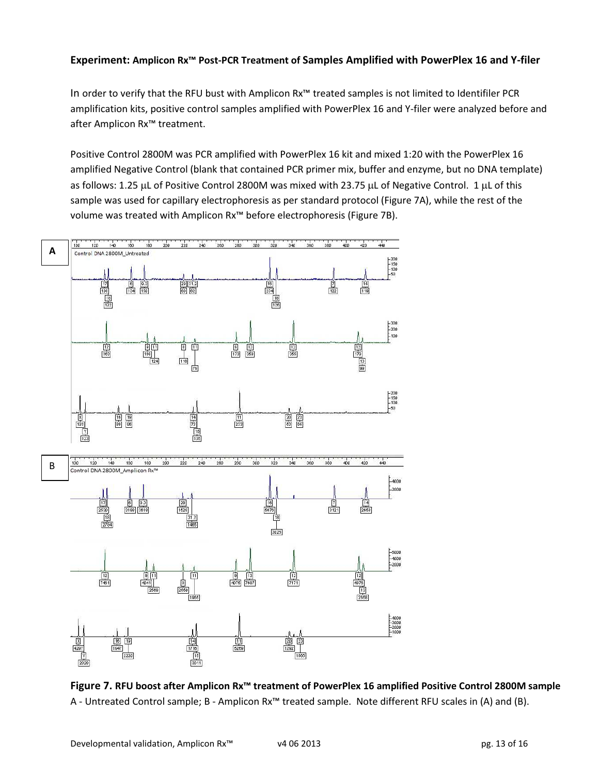### Experiment: Amplicon Rx™ Post-PCR Treatment of Samples Amplified with PowerPlex 16 and Y-filer

In order to verify that the RFU bust with Amplicon Rx™ treated samples is not limited to Identifiler PCR amplification kits, positive control samples amplified with PowerPlex 16 and Y-filer were analyzed before and after Amplicon Rx™ treatment.

Positive Control 2800M was PCR amplified with PowerPlex 16 kit and mixed 1:20 with the PowerPlex 16 amplified Negative Control (blank that contained PCR primer mix, buffer and enzyme, but no DNA template) as follows: 1.25 µL of Positive Control 2800M was mixed with 23.75 µL of Negative Control. 1 µL of this sample was used for capillary electrophoresis as per standard protocol (Figure 7A), while the rest of the volume was treated with Amplicon Rx™ before electrophoresis (Figure 7B).



Figure 7. RFU boost after Amplicon Rx™ treatment of PowerPlex 16 amplified Positive Control 2800M sample A - Untreated Control sample; B - Amplicon Rx™ treated sample. Note different RFU scales in (A) and (B).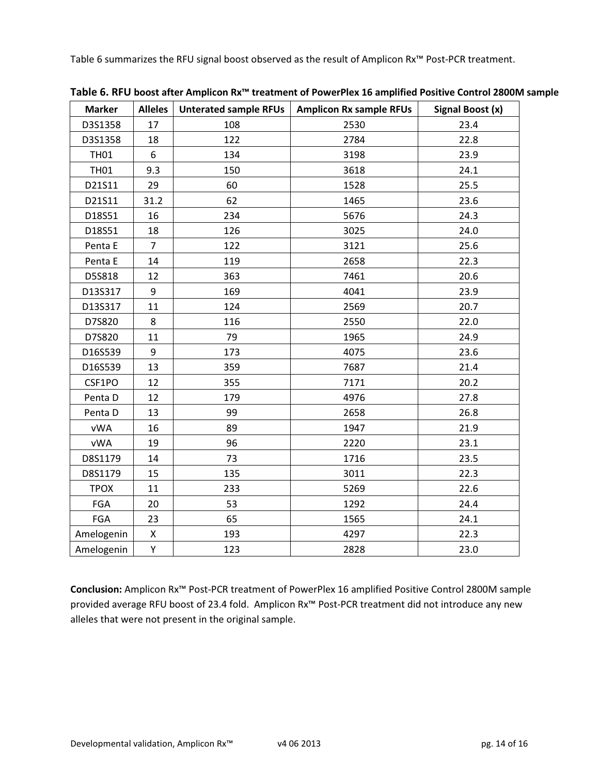Table 6 summarizes the RFU signal boost observed as the result of Amplicon Rx™ Post-PCR treatment.

| <b>Marker</b> | <b>Alleles</b> | <b>Unterated sample RFUs</b> | <b>Amplicon Rx sample RFUs</b> | Signal Boost (x) |
|---------------|----------------|------------------------------|--------------------------------|------------------|
| D3S1358       | 17             | 108                          | 2530                           | 23.4             |
| D3S1358       | 18             | 122                          | 2784                           | 22.8             |
| <b>TH01</b>   | 6              | 134                          | 3198                           | 23.9             |
| <b>TH01</b>   | 9.3            | 150                          | 3618                           | 24.1             |
| D21S11        | 29             | 60                           | 1528                           | 25.5             |
| D21S11        | 31.2           | 62                           | 1465                           | 23.6             |
| D18S51        | 16             | 234                          | 5676                           | 24.3             |
| D18S51        | 18             | 126                          | 3025                           | 24.0             |
| Penta E       | $\overline{7}$ | 122                          | 3121                           | 25.6             |
| Penta E       | 14             | 119                          | 2658                           | 22.3             |
| D5S818        | 12             | 363                          | 7461                           | 20.6             |
| D13S317       | 9              | 169                          | 4041                           | 23.9             |
| D13S317       | 11             | 124                          | 2569                           | 20.7             |
| D7S820        | 8              | 116                          | 2550                           | 22.0             |
| D7S820        | 11             | 79                           | 1965                           | 24.9             |
| D16S539       | 9              | 173                          | 4075                           | 23.6             |
| D16S539       | 13             | 359                          | 7687                           | 21.4             |
| CSF1PO        | 12             | 355                          | 7171                           | 20.2             |
| Penta D       | 12             | 179                          | 4976                           | 27.8             |
| Penta D       | 13             | 99                           | 2658                           | 26.8             |
| <b>vWA</b>    | 16             | 89                           | 1947                           | 21.9             |
| vWA           | 19             | 96                           | 2220                           | 23.1             |
| D8S1179       | 14             | 73                           | 1716                           | 23.5             |
| D8S1179       | 15             | 135                          | 3011                           | 22.3             |
| <b>TPOX</b>   | 11             | 233                          | 5269                           | 22.6             |
| FGA           | 20             | 53                           | 1292                           | 24.4             |
| FGA           | 23             | 65                           | 1565                           | 24.1             |
| Amelogenin    | X              | 193                          | 4297                           | 22.3             |
| Amelogenin    | Υ              | 123                          | 2828                           | 23.0             |

Table 6. RFU boost after Amplicon Rx™ treatment of PowerPlex 16 amplified Positive Control 2800M sample

Conclusion: Amplicon Rx™ Post-PCR treatment of PowerPlex 16 amplified Positive Control 2800M sample provided average RFU boost of 23.4 fold. Amplicon Rx<sup>™</sup> Post-PCR treatment did not introduce any new alleles that were not present in the original sample.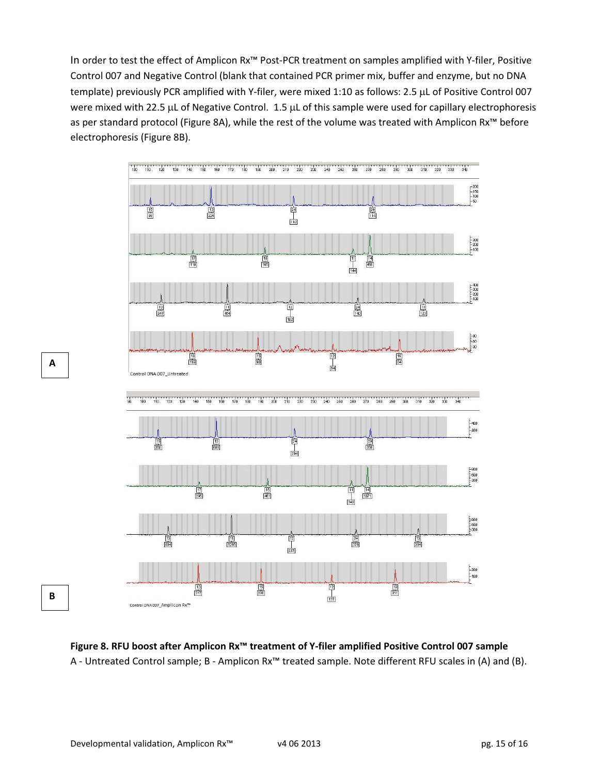In order to test the effect of Amplicon Rx™ Post-PCR treatment on samples amplified with Y-filer, Positive Control 007 and Negative Control (blank that contained PCR primer mix, buffer and enzyme, but no DNA template) previously PCR amplified with Y-filer, were mixed 1:10 as follows: 2.5 µL of Positive Control 007 were mixed with 22.5 µL of Negative Control. 1.5 µL of this sample were used for capillary electrophoresis as per standard protocol (Figure 8A), while the rest of the volume was treated with Amplicon Rx™ before electrophoresis (Figure 8B).



Figure 8. RFU boost after Amplicon Rx™ treatment of Y-filer amplified Positive Control 007 sample A - Untreated Control sample; B - Amplicon Rx™ treated sample. Note different RFU scales in (A) and (B).

A

B